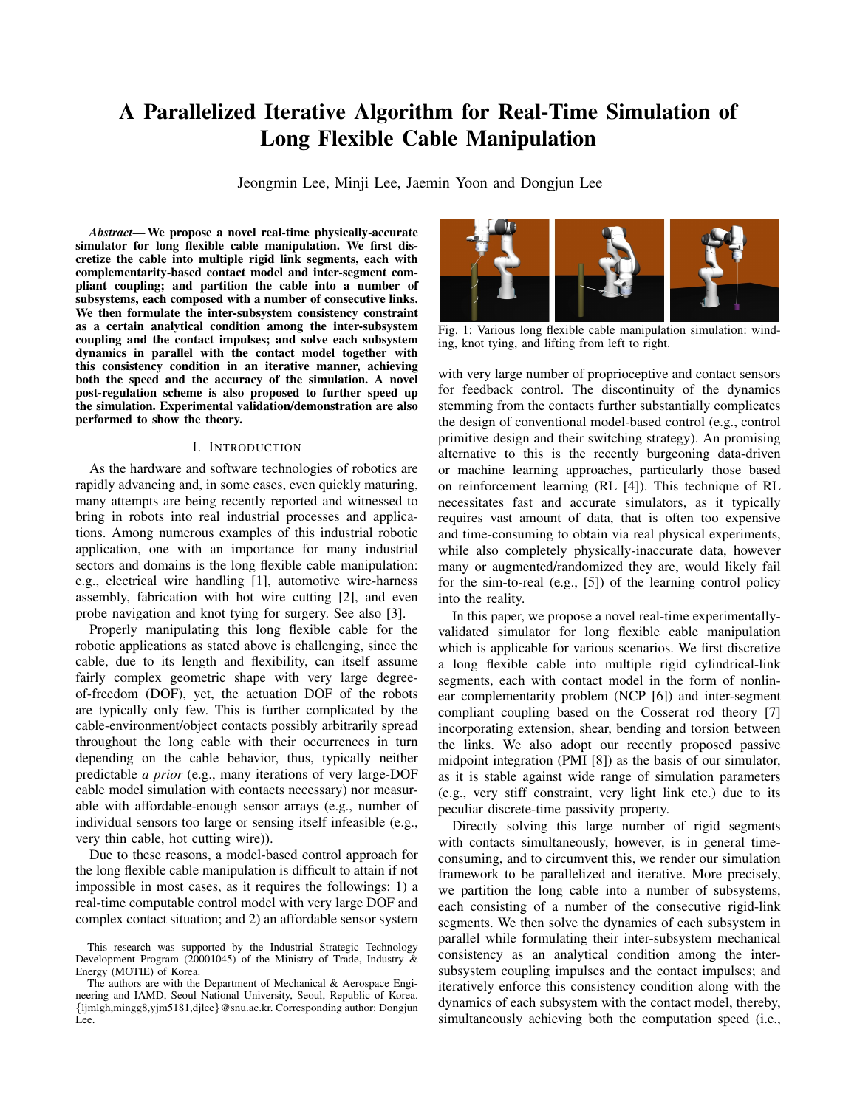# A Parallelized Iterative Algorithm for Real-Time Simulation of Long Flexible Cable Manipulation

Jeongmin Lee, Minji Lee, Jaemin Yoon and Dongjun Lee

*Abstract*— We propose a novel real-time physically-accurate simulator for long flexible cable manipulation. We first discretize the cable into multiple rigid link segments, each with complementarity-based contact model and inter-segment compliant coupling; and partition the cable into a number of subsystems, each composed with a number of consecutive links. We then formulate the inter-subsystem consistency constraint as a certain analytical condition among the inter-subsystem coupling and the contact impulses; and solve each subsystem dynamics in parallel with the contact model together with this consistency condition in an iterative manner, achieving both the speed and the accuracy of the simulation. A novel post-regulation scheme is also proposed to further speed up the simulation. Experimental validation/demonstration are also performed to show the theory.

## I. INTRODUCTION

As the hardware and software technologies of robotics are rapidly advancing and, in some cases, even quickly maturing, many attempts are being recently reported and witnessed to bring in robots into real industrial processes and applications. Among numerous examples of this industrial robotic application, one with an importance for many industrial sectors and domains is the long flexible cable manipulation: e.g., electrical wire handling [1], automotive wire-harness assembly, fabrication with hot wire cutting [2], and even probe navigation and knot tying for surgery. See also [3].

Properly manipulating this long flexible cable for the robotic applications as stated above is challenging, since the cable, due to its length and flexibility, can itself assume fairly complex geometric shape with very large degreeof-freedom (DOF), yet, the actuation DOF of the robots are typically only few. This is further complicated by the cable-environment/object contacts possibly arbitrarily spread throughout the long cable with their occurrences in turn depending on the cable behavior, thus, typically neither predictable *a prior* (e.g., many iterations of very large-DOF cable model simulation with contacts necessary) nor measurable with affordable-enough sensor arrays (e.g., number of individual sensors too large or sensing itself infeasible (e.g., very thin cable, hot cutting wire)).

Due to these reasons, a model-based control approach for the long flexible cable manipulation is difficult to attain if not impossible in most cases, as it requires the followings: 1) a real-time computable control model with very large DOF and complex contact situation; and 2) an affordable sensor system



Fig. 1: Various long flexible cable manipulation simulation: winding, knot tying, and lifting from left to right.

with very large number of proprioceptive and contact sensors for feedback control. The discontinuity of the dynamics stemming from the contacts further substantially complicates the design of conventional model-based control (e.g., control primitive design and their switching strategy). An promising alternative to this is the recently burgeoning data-driven or machine learning approaches, particularly those based on reinforcement learning (RL [4]). This technique of RL necessitates fast and accurate simulators, as it typically requires vast amount of data, that is often too expensive and time-consuming to obtain via real physical experiments, while also completely physically-inaccurate data, however many or augmented/randomized they are, would likely fail for the sim-to-real (e.g., [5]) of the learning control policy into the reality.

In this paper, we propose a novel real-time experimentallyvalidated simulator for long flexible cable manipulation which is applicable for various scenarios. We first discretize a long flexible cable into multiple rigid cylindrical-link segments, each with contact model in the form of nonlinear complementarity problem (NCP [6]) and inter-segment compliant coupling based on the Cosserat rod theory [7] incorporating extension, shear, bending and torsion between the links. We also adopt our recently proposed passive midpoint integration (PMI [8]) as the basis of our simulator, as it is stable against wide range of simulation parameters (e.g., very stiff constraint, very light link etc.) due to its peculiar discrete-time passivity property.

Directly solving this large number of rigid segments with contacts simultaneously, however, is in general timeconsuming, and to circumvent this, we render our simulation framework to be parallelized and iterative. More precisely, we partition the long cable into a number of subsystems, each consisting of a number of the consecutive rigid-link segments. We then solve the dynamics of each subsystem in parallel while formulating their inter-subsystem mechanical consistency as an analytical condition among the intersubsystem coupling impulses and the contact impulses; and iteratively enforce this consistency condition along with the dynamics of each subsystem with the contact model, thereby, simultaneously achieving both the computation speed (i.e.,

This research was supported by the Industrial Strategic Technology Development Program (20001045) of the Ministry of Trade, Industry & Energy (MOTIE) of Korea.

The authors are with the Department of Mechanical & Aerospace Engineering and IAMD, Seoul National University, Seoul, Republic of Korea. {ljmlgh,mingg8,yjm5181,djlee}@snu.ac.kr. Corresponding author: Dongjun Lee.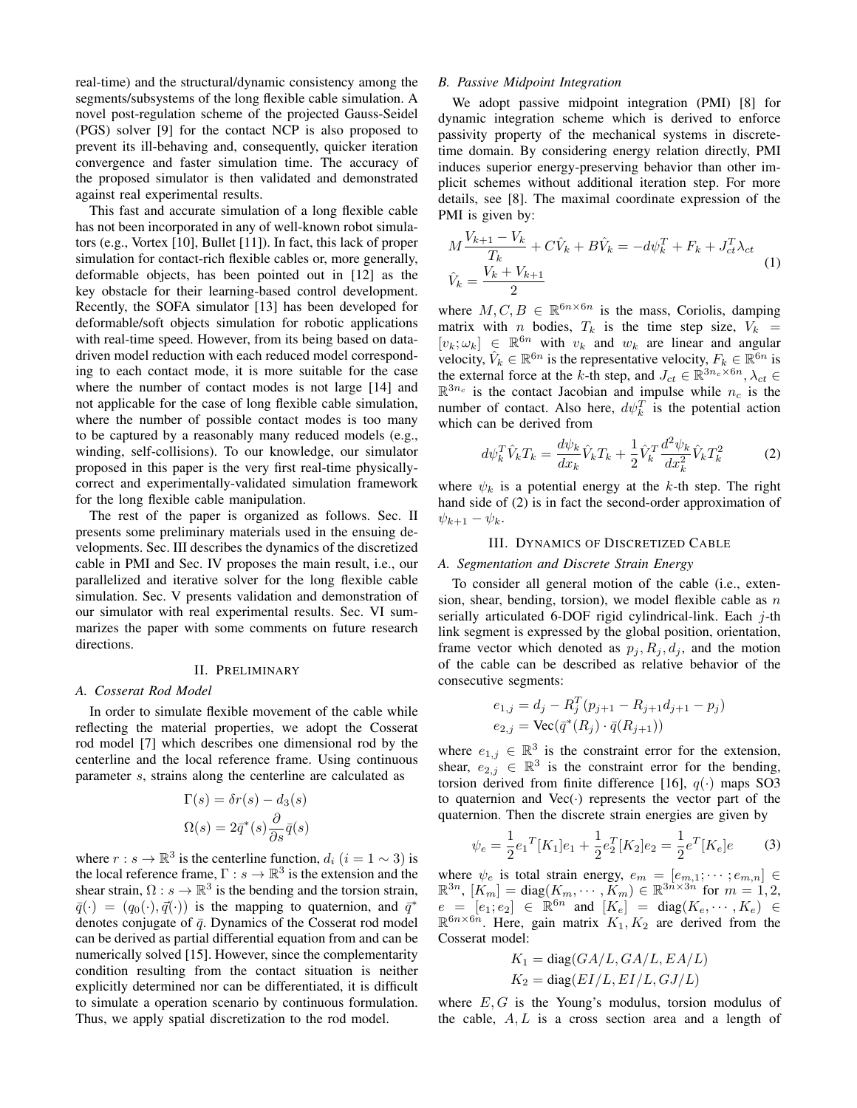real-time) and the structural/dynamic consistency among the segments/subsystems of the long flexible cable simulation. A novel post-regulation scheme of the projected Gauss-Seidel (PGS) solver [9] for the contact NCP is also proposed to prevent its ill-behaving and, consequently, quicker iteration convergence and faster simulation time. The accuracy of the proposed simulator is then validated and demonstrated against real experimental results.

This fast and accurate simulation of a long flexible cable has not been incorporated in any of well-known robot simulators (e.g., Vortex [10], Bullet [11]). In fact, this lack of proper simulation for contact-rich flexible cables or, more generally, deformable objects, has been pointed out in [12] as the key obstacle for their learning-based control development. Recently, the SOFA simulator [13] has been developed for deformable/soft objects simulation for robotic applications with real-time speed. However, from its being based on datadriven model reduction with each reduced model corresponding to each contact mode, it is more suitable for the case where the number of contact modes is not large [14] and not applicable for the case of long flexible cable simulation, where the number of possible contact modes is too many to be captured by a reasonably many reduced models (e.g., winding, self-collisions). To our knowledge, our simulator proposed in this paper is the very first real-time physicallycorrect and experimentally-validated simulation framework for the long flexible cable manipulation.

The rest of the paper is organized as follows. Sec. II presents some preliminary materials used in the ensuing developments. Sec. III describes the dynamics of the discretized cable in PMI and Sec. IV proposes the main result, i.e., our parallelized and iterative solver for the long flexible cable simulation. Sec. V presents validation and demonstration of our simulator with real experimental results. Sec. VI summarizes the paper with some comments on future research directions.

## II. PRELIMINARY

# *A. Cosserat Rod Model*

In order to simulate flexible movement of the cable while reflecting the material properties, we adopt the Cosserat rod model [7] which describes one dimensional rod by the centerline and the local reference frame. Using continuous parameter s, strains along the centerline are calculated as

$$
\Gamma(s) = \delta r(s) - d_3(s)
$$

$$
\Omega(s) = 2\bar{q}^*(s) \frac{\partial}{\partial s}\bar{q}(s)
$$

where  $r : s \to \mathbb{R}^3$  is the centerline function,  $d_i$   $(i = 1 \sim 3)$  is the local reference frame,  $\Gamma: s \to \mathbb{R}^3$  is the extension and the shear strain,  $\Omega : s \to \mathbb{R}^3$  is the bending and the torsion strain,  $\bar{q}(\cdot) = (q_0(\cdot), \vec{q}(\cdot))$  is the mapping to quaternion, and  $\bar{q}^*$ denotes conjugate of  $\bar{q}$ . Dynamics of the Cosserat rod model can be derived as partial differential equation from and can be numerically solved [15]. However, since the complementarity condition resulting from the contact situation is neither explicitly determined nor can be differentiated, it is difficult to simulate a operation scenario by continuous formulation. Thus, we apply spatial discretization to the rod model.

## *B. Passive Midpoint Integration*

We adopt passive midpoint integration (PMI) [8] for dynamic integration scheme which is derived to enforce passivity property of the mechanical systems in discretetime domain. By considering energy relation directly, PMI induces superior energy-preserving behavior than other implicit schemes without additional iteration step. For more details, see [8]. The maximal coordinate expression of the PMI is given by:

$$
M\frac{V_{k+1} - V_k}{T_k} + C\hat{V}_k + B\hat{V}_k = -d\psi_k^T + F_k + J_{ct}^T \lambda_{ct}
$$
  

$$
\hat{V}_k = \frac{V_k + V_{k+1}}{2}
$$
 (1)

where  $M, C, B \in \mathbb{R}^{6n \times 6n}$  is the mass, Coriolis, damping matrix with *n* bodies,  $T_k$  is the time step size,  $V_k$  =  $[v_k; \omega_k] \in \mathbb{R}^{6n}$  with  $v_k$  and  $w_k$  are linear and angular velocity,  $\hat{V}_k \in \mathbb{R}^{6n}$  is the representative velocity,  $F_k \in \mathbb{R}^{6n}$  is the external force at the k-th step, and  $J_{ct} \in \mathbb{R}^{3n_c \times 6n}$ ,  $\lambda_{ct} \in$  $\mathbb{R}^{3n_c}$  is the contact Jacobian and impulse while  $n_c$  is the number of contact. Also here,  $d\psi_k^T$  is the potential action which can be derived from

$$
d\psi_k^T \hat{V}_k T_k = \frac{d\psi_k}{dx_k} \hat{V}_k T_k + \frac{1}{2} \hat{V}_k^T \frac{d^2 \psi_k}{dx_k^2} \hat{V}_k T_k^2 \tag{2}
$$

where  $\psi_k$  is a potential energy at the k-th step. The right hand side of (2) is in fact the second-order approximation of  $\psi_{k+1} - \psi_k$ .

## III. DYNAMICS OF DISCRETIZED CABLE

#### *A. Segmentation and Discrete Strain Energy*

To consider all general motion of the cable (i.e., extension, shear, bending, torsion), we model flexible cable as  $n$ serially articulated 6-DOF rigid cylindrical-link. Each  $j$ -th link segment is expressed by the global position, orientation, frame vector which denoted as  $p_i, R_i, d_i$ , and the motion of the cable can be described as relative behavior of the consecutive segments:

$$
e_{1,j} = d_j - R_j^T (p_{j+1} - R_{j+1} d_{j+1} - p_j)
$$
  

$$
e_{2,j} = \text{Vec}(\bar{q}^*(R_j) \cdot \bar{q}(R_{j+1}))
$$

where  $e_{1,j} \in \mathbb{R}^3$  is the constraint error for the extension, shear,  $e_{2,j} \in \mathbb{R}^3$  is the constraint error for the bending, torsion derived from finite difference [16],  $q(\cdot)$  maps SO3 to quaternion and  $Vec(\cdot)$  represents the vector part of the quaternion. Then the discrete strain energies are given by

$$
\psi_e = \frac{1}{2} e_1^T [K_1] e_1 + \frac{1}{2} e_2^T [K_2] e_2 = \frac{1}{2} e^T [K_e] e \tag{3}
$$

where  $\psi_e$  is total strain energy,  $e_m = [e_{m,1}; \dots; e_{m,n}] \in$  $\mathbb{R}^{3n}$ ,  $[K_m] = \text{diag}(K_m, \cdots, K_m) \in \mathbb{R}^{3n \times 3n}$  for  $m = 1, 2$ ,  $e = [e_1, e_2] \in \mathbb{R}^{6n}$  and  $[K_e] = \text{diag}(K_e, \cdots, K_e) \in$  $\mathbb{R}^{6n \times 6n}$ . Here, gain matrix  $K_1, K_2$  are derived from the Cosserat model:

$$
K_1 = diag(GA/L, GA/L, EA/L)
$$
  

$$
K_2 = diag(EI/L, EI/L, GJ/L)
$$

where  $E, G$  is the Young's modulus, torsion modulus of the cable,  $A, L$  is a cross section area and a length of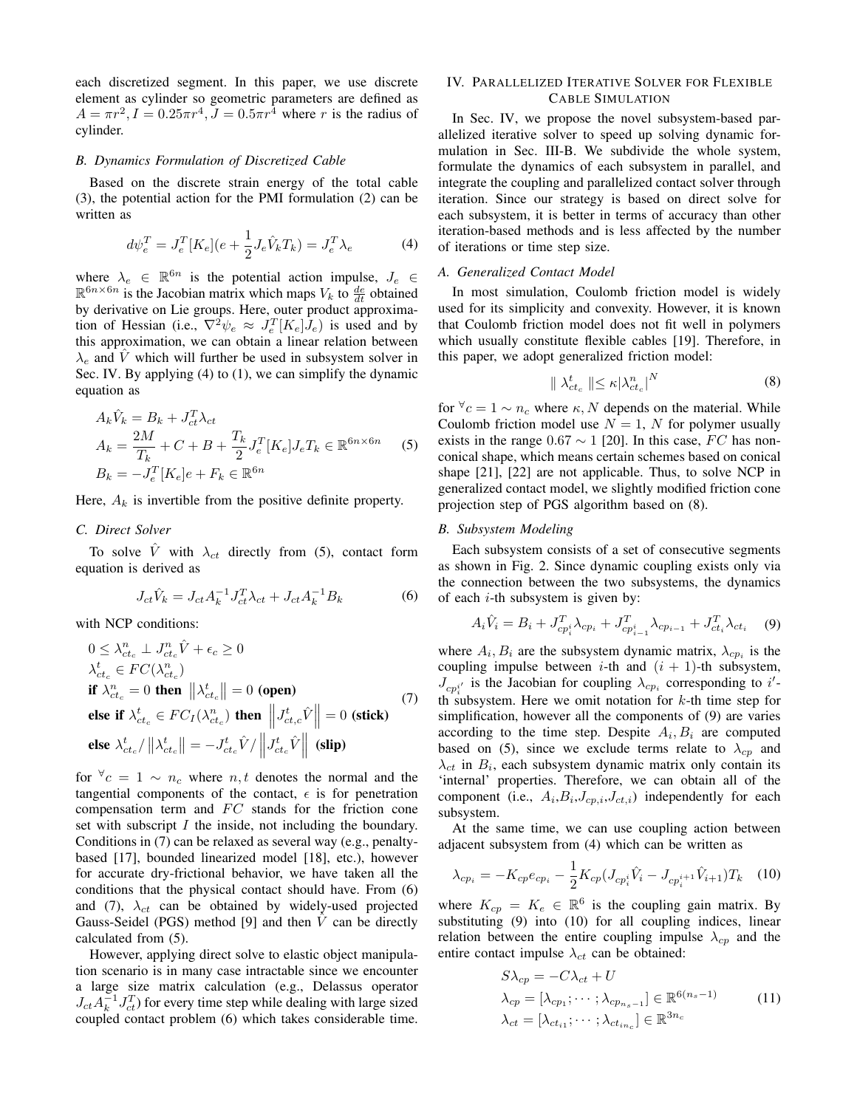each discretized segment. In this paper, we use discrete element as cylinder so geometric parameters are defined as  $A = \pi r^2$ ,  $I = 0.25\pi r^4$ ,  $J = 0.5\pi r^4$  where r is the radius of cylinder.

## *B. Dynamics Formulation of Discretized Cable*

Based on the discrete strain energy of the total cable (3), the potential action for the PMI formulation (2) can be written as

$$
d\psi_e^T = J_e^T [K_e](e + \frac{1}{2} J_e \hat{V}_k T_k) = J_e^T \lambda_e
$$
 (4)

where  $\lambda_e \in \mathbb{R}^{6n}$  is the potential action impulse,  $J_e \in$  $\mathbb{R}^{6n \times 6n}$  is the Jacobian matrix which maps  $V_k$  to  $\frac{de}{dt}$  obtained by derivative on Lie groups. Here, outer product approximation of Hessian (i.e.,  $\nabla^2 \psi_e \approx J_e^T [K_e] J_e$ ) is used and by this approximation, we can obtain a linear relation between  $\lambda_e$  and V which will further be used in subsystem solver in Sec. IV. By applying (4) to (1), we can simplify the dynamic equation as

$$
A_k \hat{V}_k = B_k + J_{ct}^T \lambda_{ct}
$$
  
\n
$$
A_k = \frac{2M}{T_k} + C + B + \frac{T_k}{2} J_e^T [K_e] J_e T_k \in \mathbb{R}^{6n \times 6n}
$$
 (5)  
\n
$$
B_k = -J_e^T [K_e] e + F_k \in \mathbb{R}^{6n}
$$

Here,  $A_k$  is invertible from the positive definite property.

# *C. Direct Solver*

To solve  $\hat{V}$  with  $\lambda_{ct}$  directly from (5), contact form equation is derived as

$$
J_{ct}\hat{V}_k = J_{ct}A_k^{-1}J_{ct}^T\lambda_{ct} + J_{ct}A_k^{-1}B_k
$$
 (6)

with NCP conditions:

$$
0 \leq \lambda_{ct_c}^n \perp J_{ct_c}^n \hat{V} + \epsilon_c \geq 0
$$
  
\n
$$
\lambda_{ct_c}^t \in FC(\lambda_{ct_c}^n)
$$
  
\n**if**  $\lambda_{ct_c}^n = 0$  **then**  $\|\lambda_{ct_c}^t\| = 0$  **(open)**  
\n**else if**  $\lambda_{ct_c}^t \in FC_I(\lambda_{ct_c}^n)$  **then**  $\left\|J_{ct_c}^t \hat{V}\right\| = 0$  **(stick)**  
\n**else**  $\lambda_{ct_c}^t / \|\lambda_{ct_c}^t\| = -J_{ct_c}^t \hat{V} / \left\|J_{ct_c}^t \hat{V}\right\|$  **(slip)**

for  $\forall c = 1 \sim n_c$  where  $n, t$  denotes the normal and the tangential components of the contact,  $\epsilon$  is for penetration compensation term and  $FC$  stands for the friction cone set with subscript I the inside, not including the boundary. Conditions in (7) can be relaxed as several way (e.g., penaltybased [17], bounded linearized model [18], etc.), however for accurate dry-frictional behavior, we have taken all the conditions that the physical contact should have. From (6) and (7),  $\lambda_{ct}$  can be obtained by widely-used projected Gauss-Seidel (PGS) method [9] and then  $\hat{V}$  can be directly calculated from (5).

However, applying direct solve to elastic object manipulation scenario is in many case intractable since we encounter a large size matrix calculation (e.g., Delassus operator  $J_{ct} A_k^{-1} J_{ct}^T$  for every time step while dealing with large sized coupled contact problem (6) which takes considerable time.

# IV. PARALLELIZED ITERATIVE SOLVER FOR FLEXIBLE CABLE SIMULATION

In Sec. IV, we propose the novel subsystem-based parallelized iterative solver to speed up solving dynamic formulation in Sec. III-B. We subdivide the whole system, formulate the dynamics of each subsystem in parallel, and integrate the coupling and parallelized contact solver through iteration. Since our strategy is based on direct solve for each subsystem, it is better in terms of accuracy than other iteration-based methods and is less affected by the number of iterations or time step size.

#### *A. Generalized Contact Model*

In most simulation, Coulomb friction model is widely used for its simplicity and convexity. However, it is known that Coulomb friction model does not fit well in polymers which usually constitute flexible cables [19]. Therefore, in this paper, we adopt generalized friction model:

$$
\| \lambda_{ct_c}^t \| \le \kappa |\lambda_{ct_c}^n|^N \tag{8}
$$

for  $\forall c = 1 \sim n_c$  where  $\kappa$ , N depends on the material. While Coulomb friction model use  $N = 1$ , N for polymer usually exists in the range  $0.67 \sim 1$  [20]. In this case, FC has nonconical shape, which means certain schemes based on conical shape [21], [22] are not applicable. Thus, to solve NCP in generalized contact model, we slightly modified friction cone projection step of PGS algorithm based on (8).

### *B. Subsystem Modeling*

Each subsystem consists of a set of consecutive segments as shown in Fig. 2. Since dynamic coupling exists only via the connection between the two subsystems, the dynamics of each  $i$ -th subsystem is given by:

$$
A_i \hat{V}_i = B_i + J_{cp_i^i}^T \lambda_{cp_i} + J_{cp_{i-1}^i}^T \lambda_{cp_{i-1}} + J_{ct_i}^T \lambda_{ct_i} \quad (9)
$$

where  $A_i, B_i$  are the subsystem dynamic matrix,  $\lambda_{cp_i}$  is the coupling impulse between *i*-th and  $(i + 1)$ -th subsystem,  $J_{cp_i}$ <sup>*i*</sup> is the Jacobian for coupling  $\lambda_{cp_i}$  corresponding to *i'*th subsystem. Here we omit notation for k-th time step for simplification, however all the components of (9) are varies according to the time step. Despite  $A_i, B_i$  are computed based on (5), since we exclude terms relate to  $\lambda_{cp}$  and  $\lambda_{ct}$  in  $B_i$ , each subsystem dynamic matrix only contain its 'internal' properties. Therefore, we can obtain all of the component (i.e.,  $A_i, B_i, J_{cp,i}, J_{ct,i}$ ) independently for each subsystem.

At the same time, we can use coupling action between adjacent subsystem from (4) which can be written as

$$
\lambda_{cp_i} = -K_{cp}e_{cp_i} - \frac{1}{2}K_{cp}(J_{cp_i^i}\hat{V}_i - J_{cp_i^{i+1}}\hat{V}_{i+1})T_k \quad (10)
$$

where  $K_{cp} = K_e \in \mathbb{R}^6$  is the coupling gain matrix. By substituting (9) into (10) for all coupling indices, linear relation between the entire coupling impulse  $\lambda_{cp}$  and the entire contact impulse  $\lambda_{ct}$  can be obtained:

$$
S\lambda_{cp} = -C\lambda_{ct} + U
$$
  
\n
$$
\lambda_{cp} = [\lambda_{cp_1}; \cdots; \lambda_{cp_{n_s-1}}] \in \mathbb{R}^{6(n_s-1)}
$$
  
\n
$$
\lambda_{ct} = [\lambda_{ct_{i1}}; \cdots; \lambda_{ct_{in_c}}] \in \mathbb{R}^{3n_c}
$$
\n(11)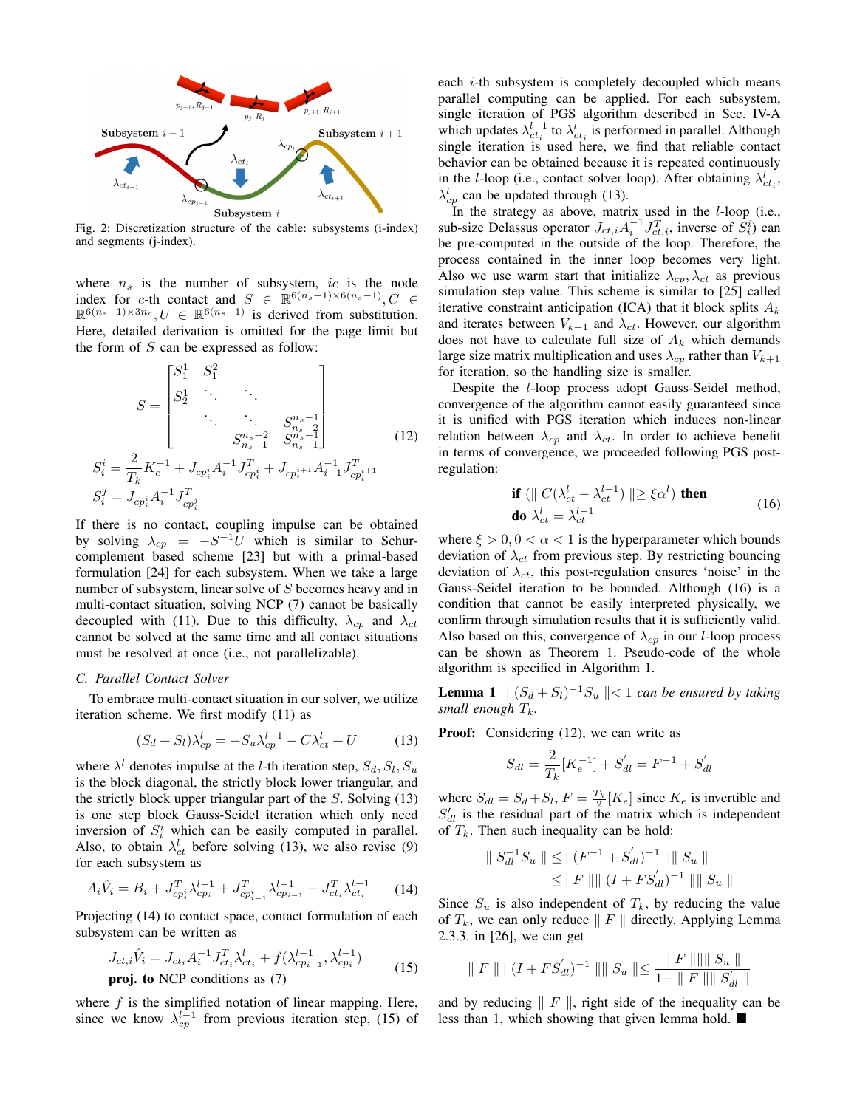

Fig. 2: Discretization structure of the cable: subsystems (i-index) and segments (j-index).

where  $n<sub>s</sub>$  is the number of subsystem, ic is the node index for c-th contact and  $S \in \mathbb{R}^{6(n_s-1)\times 6(n_s-1)}, C \in$  $\mathbb{R}^{6(n_s-1)\times 3n_c}, U \in \mathbb{R}^{6(n_s-1)}$  is derived from substitution. Here, detailed derivation is omitted for the page limit but the form of  $S$  can be expressed as follow:

$$
S = \begin{bmatrix} S_1^1 & S_1^2 & & & \\ S_2^1 & \cdots & \ddots & & \\ & \ddots & \ddots & S_{n_s-1}^{n_s-1} \\ & & S_{n_s-1}^{n_s-2} & S_{n_s-1}^{n_s-1} \end{bmatrix}
$$
 (12)  

$$
S_i^i = \frac{2}{T_k} K_e^{-1} + J_{cp_i^i} A_i^{-1} J_{cp_i^i}^T + J_{cp_i^{i+1}} A_{i+1}^{-1} J_{cp_i^{i+1}}^T
$$

$$
S_i^j = J_{cp_i^i} A_i^{-1} J_{cp_i^j}^T
$$

If there is no contact, coupling impulse can be obtained by solving  $\lambda_{cp} = -S^{-1}U$  which is similar to Schurcomplement based scheme [23] but with a primal-based formulation [24] for each subsystem. When we take a large number of subsystem, linear solve of S becomes heavy and in multi-contact situation, solving NCP (7) cannot be basically decoupled with (11). Due to this difficulty,  $\lambda_{cp}$  and  $\lambda_{ct}$ cannot be solved at the same time and all contact situations must be resolved at once (i.e., not parallelizable).

#### *C. Parallel Contact Solver*

S

S

To embrace multi-contact situation in our solver, we utilize iteration scheme. We first modify (11) as

$$
(S_d + S_l)\lambda_{cp}^l = -S_u \lambda_{cp}^{l-1} - C\lambda_{ct}^l + U \tag{13}
$$

where  $\lambda^l$  denotes impulse at the *l*-th iteration step,  $S_d$ ,  $S_l$ ,  $S_u$ is the block diagonal, the strictly block lower triangular, and the strictly block upper triangular part of the  $S$ . Solving (13) is one step block Gauss-Seidel iteration which only need inversion of  $S_i^i$  which can be easily computed in parallel. Also, to obtain  $\lambda_{ct}^{l}$  before solving (13), we also revise (9) for each subsystem as

$$
A_i \hat{V}_i = B_i + J_{cp_i}^T \lambda_{cp_i}^{l-1} + J_{cp_{i-1}}^T \lambda_{cp_{i-1}}^{l-1} + J_{ct_i}^T \lambda_{ct_i}^{l-1}
$$
 (14)

Projecting (14) to contact space, contact formulation of each subsystem can be written as

$$
J_{ct,i}\hat{V}_i = J_{ct_i}A_i^{-1}J_{ct_i}^T\lambda_{ct_i}^l + f(\lambda_{cp_{i-1}}^{l-1}, \lambda_{cp_i}^{l-1})
$$
  
**proj. to NCP conditions as (7)** (15)

where  $f$  is the simplified notation of linear mapping. Here, since we know  $\lambda_{cp}^{l-1}$  from previous iteration step, (15) of

each  $i$ -th subsystem is completely decoupled which means parallel computing can be applied. For each subsystem, single iteration of PGS algorithm described in Sec. IV-A which updates  $\lambda_{ct_i}^{l-1}$  to  $\lambda_{ct_i}^l$  is performed in parallel. Although single iteration is used here, we find that reliable contact behavior can be obtained because it is repeated continuously in the *l*-loop (i.e., contact solver loop). After obtaining  $\lambda_{ct_i}^l$ ,  $\lambda_{cp}^{l}$  can be updated through (13).

In the strategy as above, matrix used in the *l*-loop (i.e., sub-size Delassus operator  $J_{ct,i} A_i^{-1} J_{ct,i}^T$ , inverse of  $\hat{S}_i^i$ ) can be pre-computed in the outside of the loop. Therefore, the process contained in the inner loop becomes very light. Also we use warm start that initialize  $\lambda_{cp}$ ,  $\lambda_{ct}$  as previous simulation step value. This scheme is similar to [25] called iterative constraint anticipation (ICA) that it block splits  $A_k$ and iterates between  $V_{k+1}$  and  $\lambda_{ct}$ . However, our algorithm does not have to calculate full size of  $A_k$  which demands large size matrix multiplication and uses  $\lambda_{cp}$  rather than  $V_{k+1}$ for iteration, so the handling size is smaller.

Despite the l-loop process adopt Gauss-Seidel method, convergence of the algorithm cannot easily guaranteed since it is unified with PGS iteration which induces non-linear relation between  $\lambda_{cp}$  and  $\lambda_{ct}$ . In order to achieve benefit in terms of convergence, we proceeded following PGS postregulation:

$$
\begin{aligned} \text{if } (\parallel C(\lambda_{ct}^l - \lambda_{ct}^{l-1}) \parallel \geq \xi \alpha^l) \text{ then} \\ \text{do } \lambda_{ct}^l &= \lambda_{ct}^{l-1} \end{aligned} \tag{16}
$$

where  $\xi > 0$ ,  $0 < \alpha < 1$  is the hyperparameter which bounds deviation of  $\lambda_{ct}$  from previous step. By restricting bouncing deviation of  $\lambda_{ct}$ , this post-regulation ensures 'noise' in the Gauss-Seidel iteration to be bounded. Although (16) is a condition that cannot be easily interpreted physically, we confirm through simulation results that it is sufficiently valid. Also based on this, convergence of  $\lambda_{cp}$  in our *l*-loop process can be shown as Theorem 1. Pseudo-code of the whole algorithm is specified in Algorithm 1.

**Lemma 1**  $\|(S_d + S_l)^{-1}S_u\| < 1$  *can be ensured by taking small enough*  $T_k$ .

**Proof:** Considering (12), we can write as

$$
S_{dl} = \frac{2}{T_k} [K_e^{-1}] + S_{dl}^{'} = F^{-1} + S_{dl}^{'}
$$

where  $S_{dl} = S_d + S_l$ ,  $F = \frac{T_k}{2} [K_e]$  since  $K_e$  is invertible and  $S'_{dl}$  is the residual part of the matrix which is independent of  $T_k$ . Then such inequality can be hold:

$$
\begin{aligned} \parallel S_{dl}^{-1} S_u \parallel \leq & \| (F^{-1} + S_{dl}')^{-1} \parallel \| S_u \parallel \\ \leq & \| F \parallel \| (I + FS_{dl}')^{-1} \parallel \| S_u \parallel \end{aligned}
$$

Since  $S_u$  is also independent of  $T_k$ , by reducing the value of  $T_k$ , we can only reduce  $\parallel$  F  $\parallel$  directly. Applying Lemma 2.3.3. in [26], we can get

$$
|| F || || (I + FS'_{dl})^{-1} || || S_u || \le \frac{|| F || || || S_u ||}{1 - || F || || S'_{dl} ||}
$$

and by reducing  $\parallel$  F  $\parallel$ , right side of the inequality can be less than 1, which showing that given lemma hold.  $\blacksquare$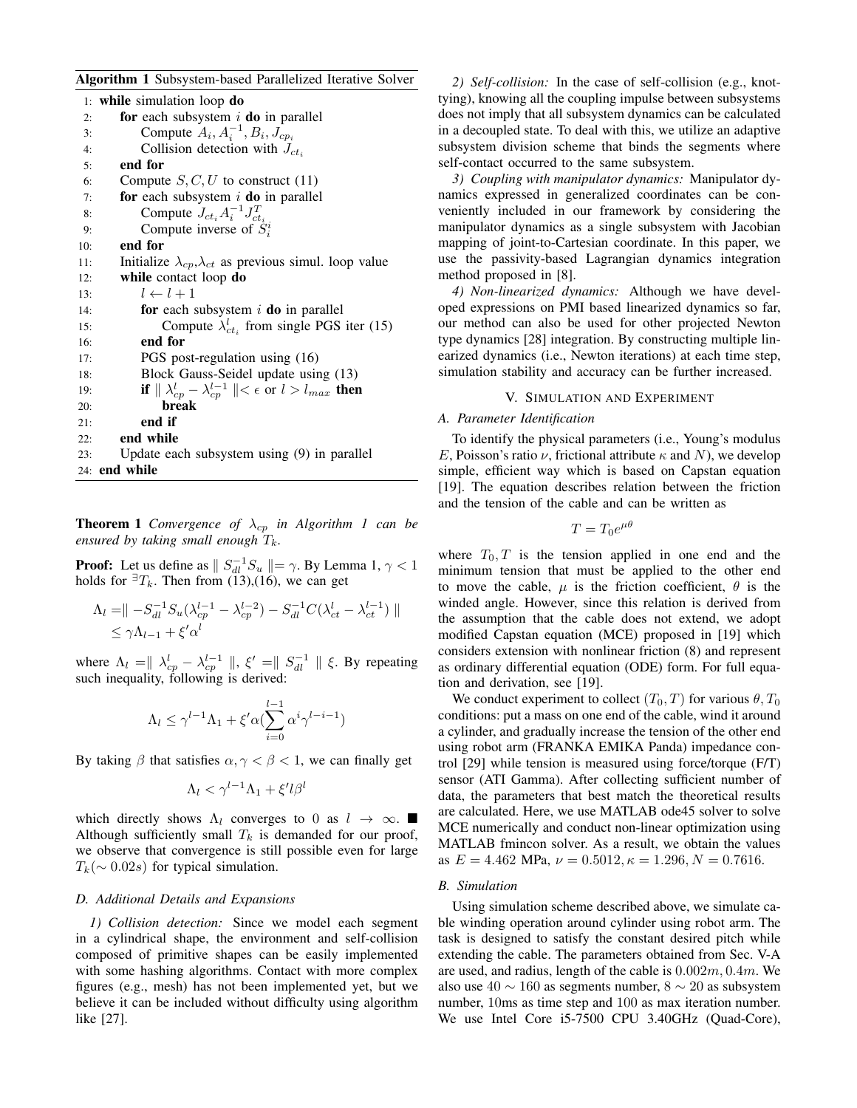Algorithm 1 Subsystem-based Parallelized Iterative Solver

|     | 1: while simulation loop $do$                                                 |
|-----|-------------------------------------------------------------------------------|
| 2:  | <b>for</b> each subsystem $i$ <b>do</b> in parallel                           |
| 3:  | Compute $A_i, A_i^{-1}, B_i, J_{cp_i}$                                        |
| 4:  | Collision detection with $J_{ct_i}$                                           |
| 5:  | end for                                                                       |
| 6:  | Compute $S, C, U$ to construct (11)                                           |
| 7:  | for each subsystem $i$ do in parallel                                         |
| 8:  | Compute $J_{ct_i}A_i^{-1}J_{ct_i}^T$                                          |
| 9:  | Compute inverse of $S_i^i$                                                    |
| 10: | end for                                                                       |
| 11: | Initialize $\lambda_{cp}, \lambda_{ct}$ as previous simul. loop value         |
| 12: | while contact loop do                                                         |
| 13: | $l \leftarrow l + 1$                                                          |
| 14: | for each subsystem $i$ do in parallel                                         |
| 15: | Compute $\lambda_{ct_i}^l$ from single PGS iter (15)                          |
| 16: | end for                                                                       |
| 17: | PGS post-regulation using (16)                                                |
| 18: | Block Gauss-Seidel update using (13)                                          |
| 19: | if $\ \lambda_{cp}^l - \lambda_{cp}^{l-1}\  < \epsilon$ or $l > l_{max}$ then |
| 20: | break                                                                         |
| 21: | end if                                                                        |
| 22: | end while                                                                     |
| 23: | Update each subsystem using (9) in parallel                                   |
| 24: | end while                                                                     |

**Theorem 1** *Convergence of*  $\lambda_{cp}$  *in Algorithm 1 can be ensured by taking small enough*  $T_k$ .

**Proof:** Let us define as  $\| S_{dl}^{-1} S_u \| = \gamma$ . By Lemma 1,  $\gamma < 1$ holds for  ${}^{\exists}T_k$ . Then from (13),(16), we can get

$$
\Lambda_l = || -S_{dl}^{-1} S_u (\lambda_{cp}^{l-1} - \lambda_{cp}^{l-2}) - S_{dl}^{-1} C (\lambda_{ct}^l - \lambda_{ct}^{l-1}) ||
$$
  
 
$$
\leq \gamma \Lambda_{l-1} + \xi' \alpha^l
$$

where  $\Lambda_l = || \lambda_{cp}^l - \lambda_{cp}^{l-1} ||$ ,  $\xi' = || S_{dl}^{-1} || \xi$ . By repeating such inequality, following is derived:

$$
\Lambda_l \leq \gamma^{l-1} \Lambda_1 + \xi' \alpha (\sum_{i=0}^{l-1} \alpha^i \gamma^{l-i-1})
$$

By taking  $\beta$  that satisfies  $\alpha, \gamma < \beta < 1$ , we can finally get

$$
\Lambda_l < \gamma^{l-1}\Lambda_1 + \xi' l\beta^l
$$

which directly shows  $\Lambda_l$  converges to 0 as  $l \to \infty$ . Although sufficiently small  $T_k$  is demanded for our proof, we observe that convergence is still possible even for large  $T_k(\sim 0.02s)$  for typical simulation.

## *D. Additional Details and Expansions*

*1) Collision detection:* Since we model each segment in a cylindrical shape, the environment and self-collision composed of primitive shapes can be easily implemented with some hashing algorithms. Contact with more complex figures (e.g., mesh) has not been implemented yet, but we believe it can be included without difficulty using algorithm like [27].

*2) Self-collision:* In the case of self-collision (e.g., knottying), knowing all the coupling impulse between subsystems does not imply that all subsystem dynamics can be calculated in a decoupled state. To deal with this, we utilize an adaptive subsystem division scheme that binds the segments where self-contact occurred to the same subsystem.

*3) Coupling with manipulator dynamics:* Manipulator dynamics expressed in generalized coordinates can be conveniently included in our framework by considering the manipulator dynamics as a single subsystem with Jacobian mapping of joint-to-Cartesian coordinate. In this paper, we use the passivity-based Lagrangian dynamics integration method proposed in [8].

*4) Non-linearized dynamics:* Although we have developed expressions on PMI based linearized dynamics so far, our method can also be used for other projected Newton type dynamics [28] integration. By constructing multiple linearized dynamics (i.e., Newton iterations) at each time step, simulation stability and accuracy can be further increased.

# V. SIMULATION AND EXPERIMENT

# *A. Parameter Identification*

To identify the physical parameters (i.e., Young's modulus E, Poisson's ratio  $\nu$ , frictional attribute  $\kappa$  and N), we develop simple, efficient way which is based on Capstan equation [19]. The equation describes relation between the friction and the tension of the cable and can be written as

$$
T = T_0 e^{\mu \theta}
$$

where  $T_0$ , T is the tension applied in one end and the minimum tension that must be applied to the other end to move the cable,  $\mu$  is the friction coefficient,  $\theta$  is the winded angle. However, since this relation is derived from the assumption that the cable does not extend, we adopt modified Capstan equation (MCE) proposed in [19] which considers extension with nonlinear friction (8) and represent as ordinary differential equation (ODE) form. For full equation and derivation, see [19].

We conduct experiment to collect  $(T_0, T)$  for various  $\theta, T_0$ conditions: put a mass on one end of the cable, wind it around a cylinder, and gradually increase the tension of the other end using robot arm (FRANKA EMIKA Panda) impedance control [29] while tension is measured using force/torque (F/T) sensor (ATI Gamma). After collecting sufficient number of data, the parameters that best match the theoretical results are calculated. Here, we use MATLAB ode45 solver to solve MCE numerically and conduct non-linear optimization using MATLAB fmincon solver. As a result, we obtain the values as  $E = 4.462$  MPa,  $\nu = 0.5012$ ,  $\kappa = 1.296$ ,  $N = 0.7616$ .

#### *B. Simulation*

Using simulation scheme described above, we simulate cable winding operation around cylinder using robot arm. The task is designed to satisfy the constant desired pitch while extending the cable. The parameters obtained from Sec. V-A are used, and radius, length of the cable is  $0.002m, 0.4m$ . We also use  $40 \sim 160$  as segments number,  $8 \sim 20$  as subsystem number, 10ms as time step and 100 as max iteration number. We use Intel Core i5-7500 CPU 3.40GHz (Quad-Core),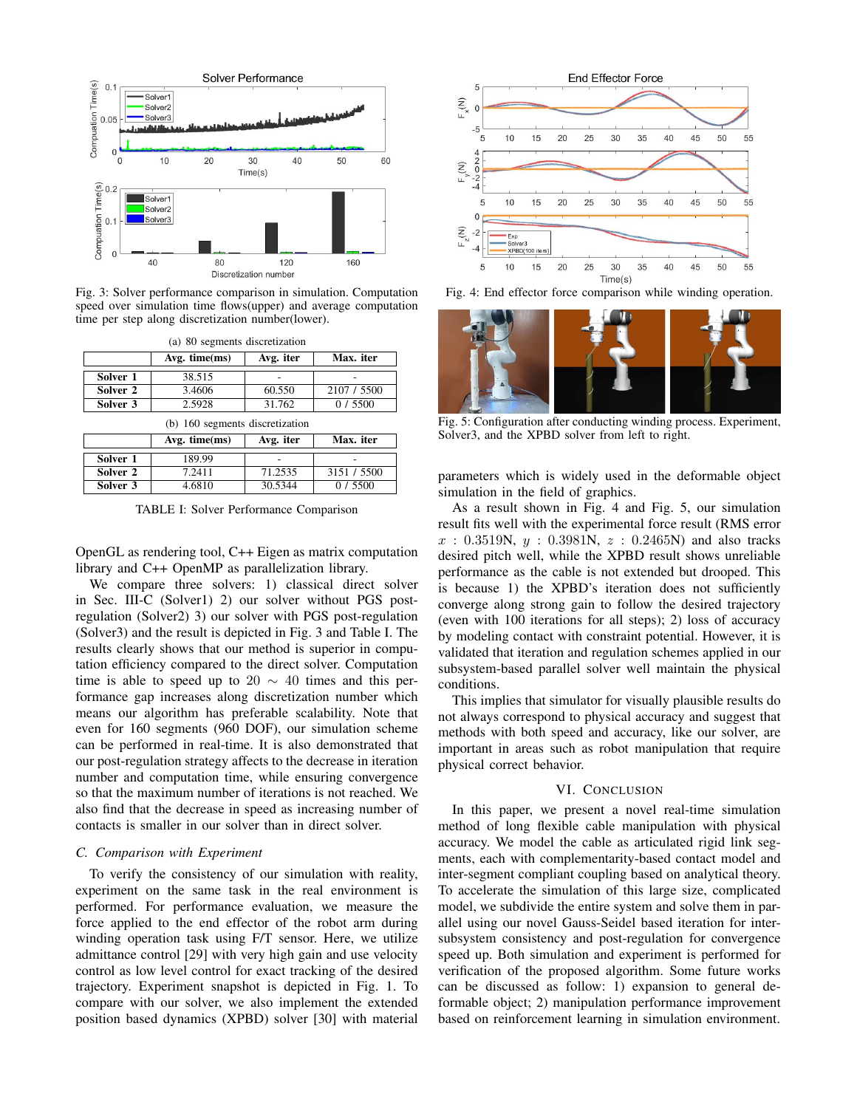

Fig. 3: Solver performance comparison in simulation. Computation speed over simulation time flows(upper) and average computation time per step along discretization number(lower).

| (a) 80 segments discretization  |                    |           |             |  |  |
|---------------------------------|--------------------|-----------|-------------|--|--|
|                                 | $Avg.$ time $(ms)$ | Avg. iter | Max. iter   |  |  |
| Solver 1                        | 38.515             |           |             |  |  |
| Solver 2                        | 3.4606             | 60.550    | 2107 / 5500 |  |  |
| Solver 3                        | 2.5928             | 31.762    | 0/5500      |  |  |
| (b) 160 segments discretization |                    |           |             |  |  |
|                                 |                    |           |             |  |  |
|                                 | Avg. $time(ms)$    | Avg. iter | Max. iter   |  |  |
| Solver 1                        | 189.99             |           |             |  |  |
| Solver 2                        | 7.2411             | 71.2535   | 3151 / 5500 |  |  |

TABLE I: Solver Performance Comparison

OpenGL as rendering tool, C++ Eigen as matrix computation library and C++ OpenMP as parallelization library.

We compare three solvers: 1) classical direct solver in Sec. III-C (Solver1) 2) our solver without PGS postregulation (Solver2) 3) our solver with PGS post-regulation (Solver3) and the result is depicted in Fig. 3 and Table I. The results clearly shows that our method is superior in computation efficiency compared to the direct solver. Computation time is able to speed up to 20  $\sim$  40 times and this performance gap increases along discretization number which means our algorithm has preferable scalability. Note that even for 160 segments (960 DOF), our simulation scheme can be performed in real-time. It is also demonstrated that our post-regulation strategy affects to the decrease in iteration number and computation time, while ensuring convergence so that the maximum number of iterations is not reached. We also find that the decrease in speed as increasing number of contacts is smaller in our solver than in direct solver.

# *C. Comparison with Experiment*

To verify the consistency of our simulation with reality, experiment on the same task in the real environment is performed. For performance evaluation, we measure the force applied to the end effector of the robot arm during winding operation task using F/T sensor. Here, we utilize admittance control [29] with very high gain and use velocity control as low level control for exact tracking of the desired trajectory. Experiment snapshot is depicted in Fig. 1. To compare with our solver, we also implement the extended position based dynamics (XPBD) solver [30] with material



Fig. 4: End effector force comparison while winding operation.



Fig. 5: Configuration after conducting winding process. Experiment, Solver3, and the XPBD solver from left to right.

parameters which is widely used in the deformable object simulation in the field of graphics.

As a result shown in Fig. 4 and Fig. 5, our simulation result fits well with the experimental force result (RMS error  $x : 0.3519N, y : 0.3981N, z : 0.2465N$  and also tracks desired pitch well, while the XPBD result shows unreliable performance as the cable is not extended but drooped. This is because 1) the XPBD's iteration does not sufficiently converge along strong gain to follow the desired trajectory (even with 100 iterations for all steps); 2) loss of accuracy by modeling contact with constraint potential. However, it is validated that iteration and regulation schemes applied in our subsystem-based parallel solver well maintain the physical conditions.

This implies that simulator for visually plausible results do not always correspond to physical accuracy and suggest that methods with both speed and accuracy, like our solver, are important in areas such as robot manipulation that require physical correct behavior.

#### VI. CONCLUSION

In this paper, we present a novel real-time simulation method of long flexible cable manipulation with physical accuracy. We model the cable as articulated rigid link segments, each with complementarity-based contact model and inter-segment compliant coupling based on analytical theory. To accelerate the simulation of this large size, complicated model, we subdivide the entire system and solve them in parallel using our novel Gauss-Seidel based iteration for intersubsystem consistency and post-regulation for convergence speed up. Both simulation and experiment is performed for verification of the proposed algorithm. Some future works can be discussed as follow: 1) expansion to general deformable object; 2) manipulation performance improvement based on reinforcement learning in simulation environment.